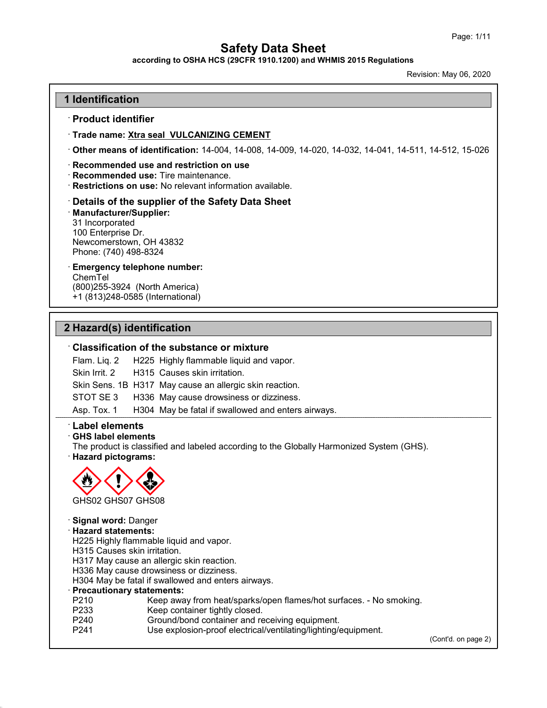according to OSHA HCS (29CFR 1910.1200) and WHMIS 2015 Regulations

Revision: May 06, 2020

### 1 Identification

#### · Product identifier

· Trade name: Xtra seal VULCANIZING CEMENT

· Other means of identification: 14-004, 14-008, 14-009, 14-020, 14-032, 14-041, 14-511, 14-512, 15-026

#### · Recommended use and restriction on use

· Recommended use: Tire maintenance.

· Restrictions on use: No relevant information available.

#### · Details of the supplier of the Safety Data Sheet

#### · Manufacturer/Supplier: 31 Incorporated

100 Enterprise Dr. Newcomerstown, OH 43832 Phone: (740) 498-8324

## · Emergency telephone number:

ChemTel (800)255-3924 (North America) +1 (813)248-0585 (International)

## 2 Hazard(s) identification

#### · Classification of the substance or mixture

Flam. Liq. 2 H225 Highly flammable liquid and vapor.

Skin Irrit. 2 H315 Causes skin irritation.

Skin Sens. 1B H317 May cause an allergic skin reaction.

STOT SE 3 H336 May cause drowsiness or dizziness.

Asp. Tox. 1 H304 May be fatal if swallowed and enters airways.

### · Label elements

#### · GHS label elements

The product is classified and labeled according to the Globally Harmonized System (GHS). · Hazard pictograms:



#### · Signal word: Danger · Hazard statements: H225 Highly flammable liquid and vapor. H315 Causes skin irritation. H317 May cause an allergic skin reaction. H336 May cause drowsiness or dizziness. H304 May be fatal if swallowed and enters airways. · Precautionary statements: P210 Keep away from heat/sparks/open flames/hot surfaces. - No smoking.<br>P233 Keep container tightly closed. P233 Keep container tightly closed.<br>P240 Ground/bond container and re P240 Ground/bond container and receiving equipment.<br>P241 Use explosion-proof electrical/ventilating/lighting/ Use explosion-proof electrical/ventilating/lighting/equipment. (Cont'd. on page 2)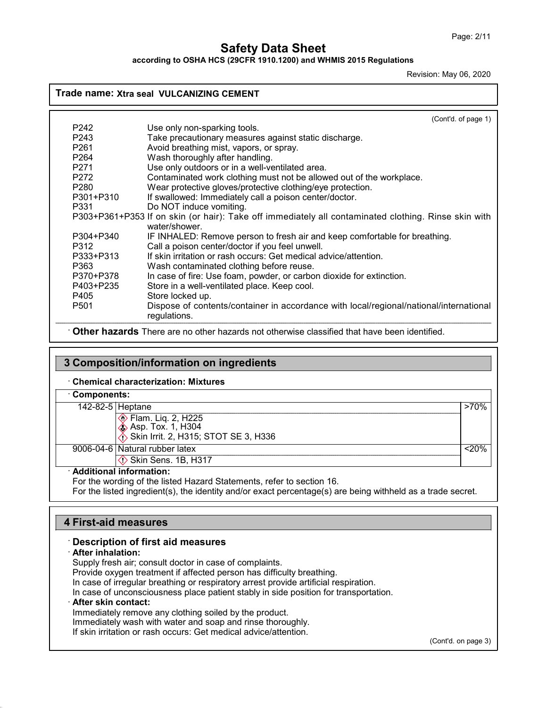according to OSHA HCS (29CFR 1910.1200) and WHMIS 2015 Regulations

Revision: May 06, 2020

## Trade name: Xtra seal VULCANIZING CEMENT

|                  | (Cont'd. of page 1)                                                                                                  |  |
|------------------|----------------------------------------------------------------------------------------------------------------------|--|
| P242             | Use only non-sparking tools.                                                                                         |  |
| P <sub>243</sub> | Take precautionary measures against static discharge.                                                                |  |
| P <sub>261</sub> | Avoid breathing mist, vapors, or spray.                                                                              |  |
| P <sub>264</sub> | Wash thoroughly after handling.                                                                                      |  |
| P <sub>271</sub> | Use only outdoors or in a well-ventilated area.                                                                      |  |
| P <sub>272</sub> | Contaminated work clothing must not be allowed out of the workplace.                                                 |  |
| P <sub>280</sub> | Wear protective gloves/protective clothing/eye protection.                                                           |  |
| P301+P310        | If swallowed: Immediately call a poison center/doctor.                                                               |  |
| P331             | Do NOT induce vomiting.                                                                                              |  |
|                  | P303+P361+P353 If on skin (or hair): Take off immediately all contaminated clothing. Rinse skin with<br>water/shower |  |
| P304+P340        | IF INHALED: Remove person to fresh air and keep comfortable for breathing.                                           |  |
| P312             | Call a poison center/doctor if you feel unwell.                                                                      |  |
| P333+P313        | If skin irritation or rash occurs: Get medical advice/attention.                                                     |  |
| P363             | Wash contaminated clothing before reuse.                                                                             |  |
| P370+P378        | In case of fire: Use foam, powder, or carbon dioxide for extinction.                                                 |  |
| P403+P235        | Store in a well-ventilated place. Keep cool.                                                                         |  |
| P405             | Store locked up.                                                                                                     |  |
| P <sub>501</sub> | Dispose of contents/container in accordance with local/regional/national/international<br>regulations.               |  |

· Other hazards There are no other hazards not otherwise classified that have been identified.

## 3 Composition/information on ingredients

· Chemical characterization: Mixtures

| <b>Components:</b> |                                                                                                             |       |
|--------------------|-------------------------------------------------------------------------------------------------------------|-------|
| 142-82-5 Heptane   |                                                                                                             | >70%  |
|                    | ◈ Flam. Liq. 2, H225<br>◈ Asp. Tox. 1, H304                                                                 |       |
|                    | $\langle \cdot \rangle$ Skin Irrit. 2, H315; STOT SE 3, H336                                                |       |
|                    | 9006-04-6 Natural rubber latex                                                                              | < 20% |
|                    | $\Diamond$ Skin Sens. 1B, H317                                                                              |       |
|                    | · Additional information:                                                                                   |       |
|                    | For the wording of the listed Hazard Statements, refer to section 16.                                       |       |
|                    | For the listed ingredient(s), the identity and/or exact percentage(s) are being withheld as a trade secret. |       |

## 4 First-aid measures

#### · Description of first aid measures

#### · After inhalation:

Supply fresh air; consult doctor in case of complaints. Provide oxygen treatment if affected person has difficulty breathing. In case of irregular breathing or respiratory arrest provide artificial respiration. In case of unconsciousness place patient stably in side position for transportation. · After skin contact: Immediately remove any clothing soiled by the product. Immediately wash with water and soap and rinse thoroughly.

If skin irritation or rash occurs: Get medical advice/attention.

(Cont'd. on page 3)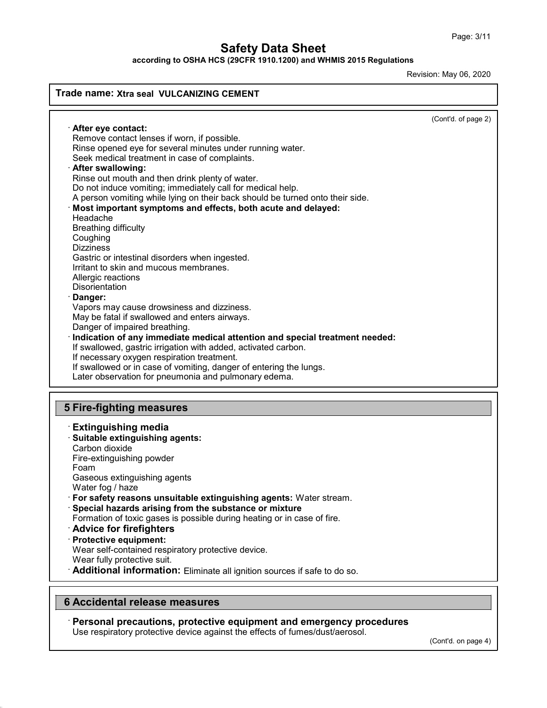according to OSHA HCS (29CFR 1910.1200) and WHMIS 2015 Regulations

Revision: May 06, 2020

### Trade name: Xtra seal VULCANIZING CEMENT (Cont'd. of page 2) · After eye contact: Remove contact lenses if worn, if possible. Rinse opened eye for several minutes under running water. Seek medical treatment in case of complaints. After swallowing: Rinse out mouth and then drink plenty of water. Do not induce vomiting; immediately call for medical help. A person vomiting while lying on their back should be turned onto their side. · Most important symptoms and effects, both acute and delayed: Headache Breathing difficulty **Coughing Dizziness** Gastric or intestinal disorders when ingested. Irritant to skin and mucous membranes. Allergic reactions **Disorientation** Danger: Vapors may cause drowsiness and dizziness. May be fatal if swallowed and enters airways. Danger of impaired breathing. · Indication of any immediate medical attention and special treatment needed: If swallowed, gastric irrigation with added, activated carbon. If necessary oxygen respiration treatment. If swallowed or in case of vomiting, danger of entering the lungs. Later observation for pneumonia and pulmonary edema. 5 Fire-fighting measures · Extinguishing media · Suitable extinguishing agents: Carbon dioxide Fire-extinguishing powder Foam Gaseous extinguishing agents Water fog / haze · For safety reasons unsuitable extinguishing agents: Water stream. · Special hazards arising from the substance or mixture Formation of toxic gases is possible during heating or in case of fire. · Advice for firefighters · Protective equipment: Wear self-contained respiratory protective device. Wear fully protective suit.

· Additional information: Eliminate all ignition sources if safe to do so.

## 6 Accidental release measures

· Personal precautions, protective equipment and emergency procedures

Use respiratory protective device against the effects of fumes/dust/aerosol.

(Cont'd. on page 4)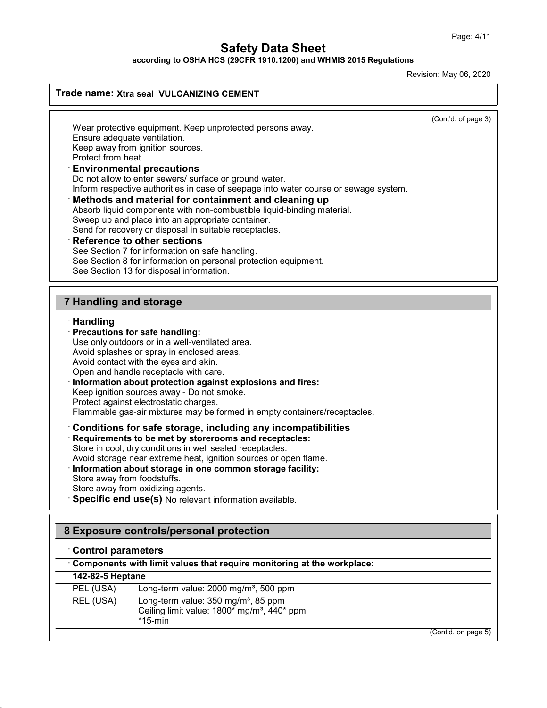according to OSHA HCS (29CFR 1910.1200) and WHMIS 2015 Regulations

Revision: May 06, 2020

## Trade name: Xtra seal VULCANIZING CEMENT

(Cont'd. of page 3)

Wear protective equipment. Keep unprotected persons away. Ensure adequate ventilation. Keep away from ignition sources. Protect from heat.

#### Environmental precautions

Do not allow to enter sewers/ surface or ground water. Inform respective authorities in case of seepage into water course or sewage system.

## Methods and material for containment and cleaning up

Absorb liquid components with non-combustible liquid-binding material.

Sweep up and place into an appropriate container.

Send for recovery or disposal in suitable receptacles.

#### **Reference to other sections**

See Section 7 for information on safe handling. See Section 8 for information on personal protection equipment. See Section 13 for disposal information.

## 7 Handling and storage

#### · Handling

#### · Precautions for safe handling: Use only outdoors or in a well-ventilated area.

Avoid splashes or spray in enclosed areas.

- Avoid contact with the eyes and skin.
- Open and handle receptacle with care.
- Information about protection against explosions and fires:

Keep ignition sources away - Do not smoke.

Protect against electrostatic charges.

Flammable gas-air mixtures may be formed in empty containers/receptacles.

## · Conditions for safe storage, including any incompatibilities

· Requirements to be met by storerooms and receptacles:

Store in cool, dry conditions in well sealed receptacles.

Avoid storage near extreme heat, ignition sources or open flame.

### · Information about storage in one common storage facility:

Store away from foodstuffs.

Store away from oxidizing agents.

Specific end use(s) No relevant information available.

## 8 Exposure controls/personal protection

### · Control parameters

| Components with limit values that require monitoring at the workplace: |                                                                                                                                                  |  |
|------------------------------------------------------------------------|--------------------------------------------------------------------------------------------------------------------------------------------------|--|
| <b>142-82-5 Heptane</b>                                                |                                                                                                                                                  |  |
| PEL (USA)                                                              | Long-term value: 2000 mg/m <sup>3</sup> , 500 ppm                                                                                                |  |
| REL (USA)                                                              | Long-term value: 350 mg/m <sup>3</sup> , 85 ppm<br>Ceiling limit value: 1800 <sup>*</sup> mg/m <sup>3</sup> , 440 <sup>*</sup> ppm<br>$*15$ -min |  |
|                                                                        | (Cont'd. on page 5)                                                                                                                              |  |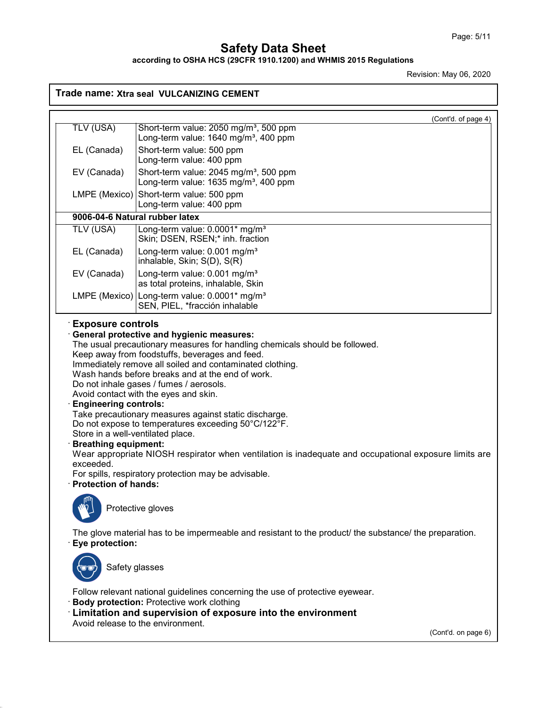according to OSHA HCS (29CFR 1910.1200) and WHMIS 2015 Regulations

Revision: May 06, 2020

## Trade name: Xtra seal VULCANIZING CEMENT

|                                                                                                                                                         | (Cont'd. of page 4)                                                                                                                                                                                                                                                                                                                                                                                                                                                                                                                                                                                                                                                                                         |
|---------------------------------------------------------------------------------------------------------------------------------------------------------|-------------------------------------------------------------------------------------------------------------------------------------------------------------------------------------------------------------------------------------------------------------------------------------------------------------------------------------------------------------------------------------------------------------------------------------------------------------------------------------------------------------------------------------------------------------------------------------------------------------------------------------------------------------------------------------------------------------|
| TLV (USA)                                                                                                                                               | Short-term value: 2050 mg/m <sup>3</sup> , 500 ppm<br>Long-term value: 1640 mg/m <sup>3</sup> , 400 ppm                                                                                                                                                                                                                                                                                                                                                                                                                                                                                                                                                                                                     |
| EL (Canada)                                                                                                                                             | Short-term value: 500 ppm<br>Long-term value: 400 ppm                                                                                                                                                                                                                                                                                                                                                                                                                                                                                                                                                                                                                                                       |
| EV (Canada)                                                                                                                                             | Short-term value: 2045 mg/m <sup>3</sup> , 500 ppm                                                                                                                                                                                                                                                                                                                                                                                                                                                                                                                                                                                                                                                          |
|                                                                                                                                                         | Long-term value: 1635 mg/m <sup>3</sup> , 400 ppm<br>LMPE (Mexico) Short-term value: 500 ppm                                                                                                                                                                                                                                                                                                                                                                                                                                                                                                                                                                                                                |
|                                                                                                                                                         | Long-term value: 400 ppm                                                                                                                                                                                                                                                                                                                                                                                                                                                                                                                                                                                                                                                                                    |
|                                                                                                                                                         | 9006-04-6 Natural rubber latex                                                                                                                                                                                                                                                                                                                                                                                                                                                                                                                                                                                                                                                                              |
| TLV (USA)                                                                                                                                               | Long-term value: 0.0001* mg/m <sup>3</sup><br>Skin; DSEN, RSEN;* inh. fraction                                                                                                                                                                                                                                                                                                                                                                                                                                                                                                                                                                                                                              |
| EL (Canada)                                                                                                                                             | Long-term value: 0.001 mg/m <sup>3</sup><br>inhalable, Skin; S(D), S(R)                                                                                                                                                                                                                                                                                                                                                                                                                                                                                                                                                                                                                                     |
| EV (Canada)                                                                                                                                             | Long-term value: 0.001 mg/m <sup>3</sup><br>as total proteins, inhalable, Skin                                                                                                                                                                                                                                                                                                                                                                                                                                                                                                                                                                                                                              |
|                                                                                                                                                         | LMPE (Mexico) Long-term value: 0.0001* mg/m <sup>3</sup><br>SEN, PIEL, *fracción inhalable                                                                                                                                                                                                                                                                                                                                                                                                                                                                                                                                                                                                                  |
| $\cdot$ Exposure controls<br><b>Engineering controls:</b><br><b>Breathing equipment:</b><br>exceeded.<br><b>Protection of hands:</b><br>lψ<br><b>NÍ</b> | <b>General protective and hygienic measures:</b><br>The usual precautionary measures for handling chemicals should be followed.<br>Keep away from foodstuffs, beverages and feed.<br>Immediately remove all soiled and contaminated clothing.<br>Wash hands before breaks and at the end of work.<br>Do not inhale gases / fumes / aerosols.<br>Avoid contact with the eyes and skin.<br>Take precautionary measures against static discharge.<br>Do not expose to temperatures exceeding 50°C/122°F.<br>Store in a well-ventilated place.<br>Wear appropriate NIOSH respirator when ventilation is inadequate and occupational exposure limits are<br>For spills, respiratory protection may be advisable. |
|                                                                                                                                                         | Protective gloves<br>The glove material has to be impermeable and resistant to the product/ the substance/ the preparation.                                                                                                                                                                                                                                                                                                                                                                                                                                                                                                                                                                                 |
| Eye protection:<br>Safety glasses                                                                                                                       |                                                                                                                                                                                                                                                                                                                                                                                                                                                                                                                                                                                                                                                                                                             |
|                                                                                                                                                         |                                                                                                                                                                                                                                                                                                                                                                                                                                                                                                                                                                                                                                                                                                             |
|                                                                                                                                                         | Follow relevant national guidelines concerning the use of protective eyewear.<br><b>Body protection: Protective work clothing</b>                                                                                                                                                                                                                                                                                                                                                                                                                                                                                                                                                                           |
|                                                                                                                                                         | <b>Limitation and supervision of exposure into the environment</b><br>Avoid release to the environment.                                                                                                                                                                                                                                                                                                                                                                                                                                                                                                                                                                                                     |
|                                                                                                                                                         | (Cont'd. on page 6)                                                                                                                                                                                                                                                                                                                                                                                                                                                                                                                                                                                                                                                                                         |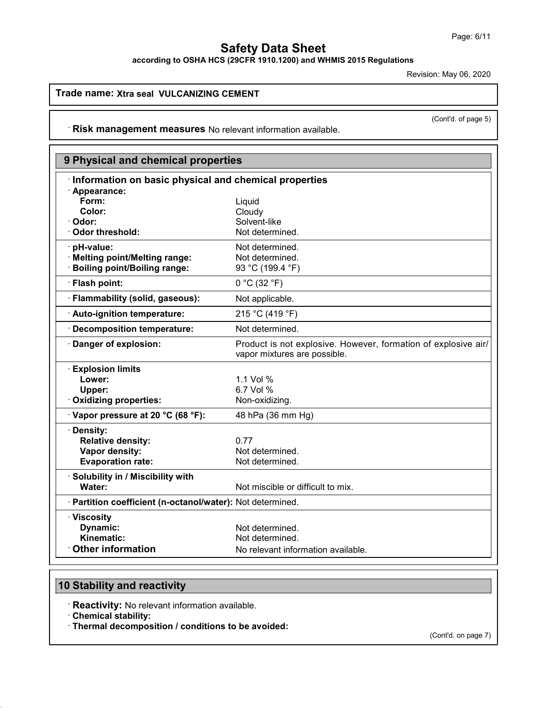according to OSHA HCS (29CFR 1910.1200) and WHMIS 2015 Regulations

Revision: May 06, 2020

### Trade name: Xtra seal VULCANIZING CEMENT

(Cont'd. of page 5)

· Risk management measures No relevant information available.

| 9 Physical and chemical properties                         |                                                                                                |
|------------------------------------------------------------|------------------------------------------------------------------------------------------------|
| Information on basic physical and chemical properties      |                                                                                                |
| · Appearance:                                              |                                                                                                |
| Form:<br>Color:                                            | Liquid<br>Cloudy                                                                               |
| Odor:                                                      | Solvent-like                                                                                   |
| <b>Odor threshold:</b>                                     | Not determined.                                                                                |
| pH-value:                                                  | Not determined.                                                                                |
| · Melting point/Melting range:                             | Not determined.                                                                                |
| <b>Boiling point/Boiling range:</b>                        | 93 °C (199.4 °F)                                                                               |
| · Flash point:                                             | 0 °C (32 °F)                                                                                   |
| · Flammability (solid, gaseous):                           | Not applicable.                                                                                |
| · Auto-ignition temperature:                               | 215 °C (419 °F)                                                                                |
| <b>Decomposition temperature:</b>                          | Not determined.                                                                                |
| Danger of explosion:                                       | Product is not explosive. However, formation of explosive air/<br>vapor mixtures are possible. |
| <b>Explosion limits</b>                                    |                                                                                                |
| Lower:                                                     | 1.1 Vol %                                                                                      |
| Upper:                                                     | 6.7 Vol %                                                                                      |
| <b>Oxidizing properties:</b>                               | Non-oxidizing.                                                                                 |
| Vapor pressure at 20 °C (68 °F):                           | 48 hPa (36 mm Hg)                                                                              |
| Density:                                                   |                                                                                                |
| <b>Relative density:</b>                                   | 0.77                                                                                           |
| Vapor density:                                             | Not determined.                                                                                |
| <b>Evaporation rate:</b>                                   | Not determined.                                                                                |
| · Solubility in / Miscibility with                         |                                                                                                |
| Water:                                                     | Not miscible or difficult to mix.                                                              |
| · Partition coefficient (n-octanol/water): Not determined. |                                                                                                |
| · Viscosity                                                |                                                                                                |
| Dynamic:                                                   | Not determined.                                                                                |
| Kinematic:                                                 | Not determined.                                                                                |
| <b>Other information</b>                                   | No relevant information available.                                                             |

# 10 Stability and reactivity

· Reactivity: No relevant information available.

· Chemical stability:

· Thermal decomposition / conditions to be avoided:

(Cont'd. on page 7)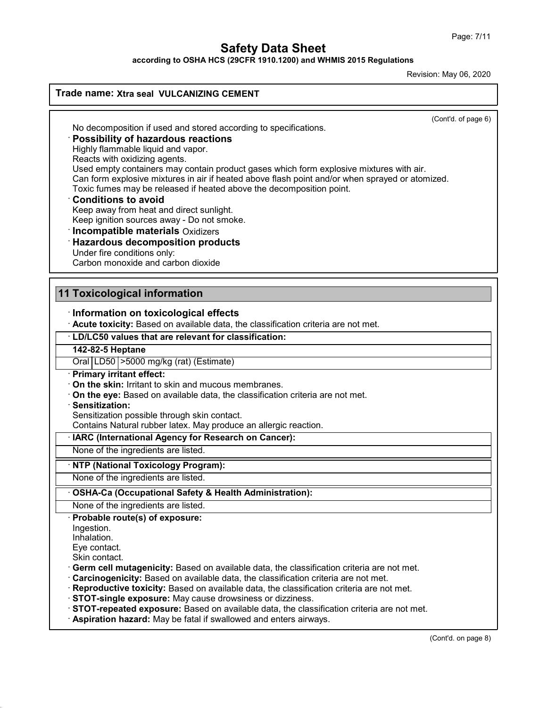according to OSHA HCS (29CFR 1910.1200) and WHMIS 2015 Regulations

Revision: May 06, 2020

## Trade name: Xtra seal VULCANIZING CEMENT

(Cont'd. of page 6)

No decomposition if used and stored according to specifications.

#### · Possibility of hazardous reactions

Highly flammable liquid and vapor.

Reacts with oxidizing agents.

Used empty containers may contain product gases which form explosive mixtures with air. Can form explosive mixtures in air if heated above flash point and/or when sprayed or atomized.

Toxic fumes may be released if heated above the decomposition point.

#### · Conditions to avoid

Keep away from heat and direct sunlight.

Keep ignition sources away - Do not smoke.

· Incompatible materials Oxidizers

## · Hazardous decomposition products

Under fire conditions only:

Carbon monoxide and carbon dioxide

## 11 Toxicological information

#### · Information on toxicological effects

· Acute toxicity: Based on available data, the classification criteria are not met.

## · LD/LC50 values that are relevant for classification:

142-82-5 Heptane

Oral LD50 >5000 mg/kg (rat) (Estimate)

#### · Primary irritant effect:

· On the skin: Irritant to skin and mucous membranes.

· On the eye: Based on available data, the classification criteria are not met.

#### · Sensitization:

Sensitization possible through skin contact.

Contains Natural rubber latex. May produce an allergic reaction.

#### IARC (International Agency for Research on Cancer):

None of the ingredients are listed.

#### **NTP (National Toxicology Program):**

None of the ingredients are listed.

#### OSHA-Ca (Occupational Safety & Health Administration):

None of the ingredients are listed.

#### · Probable route(s) of exposure:

Ingestion.

Inhalation.

Eye contact.

Skin contact.

· Germ cell mutagenicity: Based on available data, the classification criteria are not met.

· Carcinogenicity: Based on available data, the classification criteria are not met.

· Reproductive toxicity: Based on available data, the classification criteria are not met.

· STOT-single exposure: May cause drowsiness or dizziness.

· STOT-repeated exposure: Based on available data, the classification criteria are not met.

· Aspiration hazard: May be fatal if swallowed and enters airways.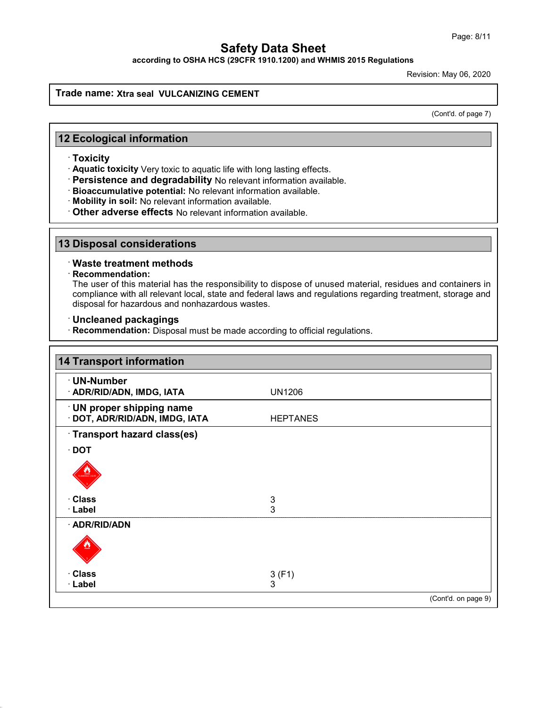according to OSHA HCS (29CFR 1910.1200) and WHMIS 2015 Regulations

Revision: May 06, 2020

### Trade name: Xtra seal VULCANIZING CEMENT

(Cont'd. of page 7)

## 12 Ecological information

· Toxicity

· Aquatic toxicity Very toxic to aquatic life with long lasting effects.

- · Persistence and degradability No relevant information available.
- · Bioaccumulative potential: No relevant information available.
- · Mobility in soil: No relevant information available.
- · Other adverse effects No relevant information available.

#### 13 Disposal considerations

## · Waste treatment methods

#### · Recommendation:

The user of this material has the responsibility to dispose of unused material, residues and containers in compliance with all relevant local, state and federal laws and regulations regarding treatment, storage and disposal for hazardous and nonhazardous wastes.

### · Uncleaned packagings

· Recommendation: Disposal must be made according to official regulations.

| <b>14 Transport information</b>                             |                           |                     |
|-------------------------------------------------------------|---------------------------|---------------------|
| · UN-Number<br>· ADR/RID/ADN, IMDG, IATA                    | <b>UN1206</b>             |                     |
| · UN proper shipping name<br>· DOT, ADR/RID/ADN, IMDG, IATA | <b>HEPTANES</b>           |                     |
| Transport hazard class(es)                                  |                           |                     |
| $\cdot$ DOT                                                 |                           |                     |
| $\frac{8.2}{\sqrt{300}}$                                    |                           |                     |
| · Class                                                     | $\ensuremath{\mathsf{3}}$ |                     |
| · Label                                                     | 3                         |                     |
| · ADR/RID/ADN                                               |                           |                     |
|                                                             |                           |                     |
| · Class                                                     | 3(F1)                     |                     |
| · Label                                                     | 3                         |                     |
|                                                             |                           | (Cont'd. on page 9) |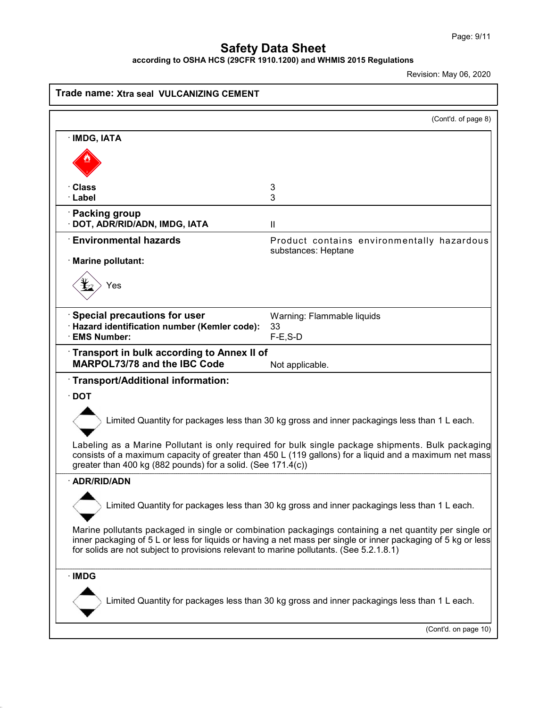according to OSHA HCS (29CFR 1910.1200) and WHMIS 2015 Regulations

Revision: May 06, 2020

|                                                                                         | (Cont'd. of page 8)                                                                                                                                                                                                     |
|-----------------------------------------------------------------------------------------|-------------------------------------------------------------------------------------------------------------------------------------------------------------------------------------------------------------------------|
| · IMDG, IATA                                                                            |                                                                                                                                                                                                                         |
|                                                                                         |                                                                                                                                                                                                                         |
|                                                                                         |                                                                                                                                                                                                                         |
| Class                                                                                   | 3                                                                                                                                                                                                                       |
| · Label                                                                                 | 3                                                                                                                                                                                                                       |
| <b>Packing group</b><br>DOT, ADR/RID/ADN, IMDG, IATA                                    |                                                                                                                                                                                                                         |
| $\cdot$ Environmental hazards                                                           | $\mathbf{I}$                                                                                                                                                                                                            |
|                                                                                         | Product contains environmentally hazardous<br>substances: Heptane                                                                                                                                                       |
| · Marine pollutant:                                                                     |                                                                                                                                                                                                                         |
| Yes                                                                                     |                                                                                                                                                                                                                         |
|                                                                                         |                                                                                                                                                                                                                         |
| Special precautions for user                                                            | Warning: Flammable liquids                                                                                                                                                                                              |
| · Hazard identification number (Kemler code):<br><b>EMS Number:</b>                     | 33<br>$F-E$ , S-D                                                                                                                                                                                                       |
| Transport in bulk according to Annex II of                                              |                                                                                                                                                                                                                         |
| <b>MARPOL73/78 and the IBC Code</b>                                                     | Not applicable.                                                                                                                                                                                                         |
| Transport/Additional information:                                                       |                                                                                                                                                                                                                         |
| $\cdot$ DOT                                                                             |                                                                                                                                                                                                                         |
|                                                                                         | Limited Quantity for packages less than 30 kg gross and inner packagings less than 1 L each.                                                                                                                            |
| greater than 400 kg (882 pounds) for a solid. (See 171.4(c))                            | Labeling as a Marine Pollutant is only required for bulk single package shipments. Bulk packaging<br>consists of a maximum capacity of greater than 450 L (119 gallons) for a liquid and a maximum net mass             |
| · ADR/RID/ADN                                                                           |                                                                                                                                                                                                                         |
|                                                                                         | Limited Quantity for packages less than 30 kg gross and inner packagings less than 1 L each.                                                                                                                            |
|                                                                                         | Marine pollutants packaged in single or combination packagings containing a net quantity per single or<br>inner packaging of 5 L or less for liquids or having a net mass per single or inner packaging of 5 kg or less |
| for solids are not subject to provisions relevant to marine pollutants. (See 5.2.1.8.1) |                                                                                                                                                                                                                         |
|                                                                                         |                                                                                                                                                                                                                         |
| $\cdot$ IMDG                                                                            | Limited Quantity for packages less than 30 kg gross and inner packagings less than 1 L each.                                                                                                                            |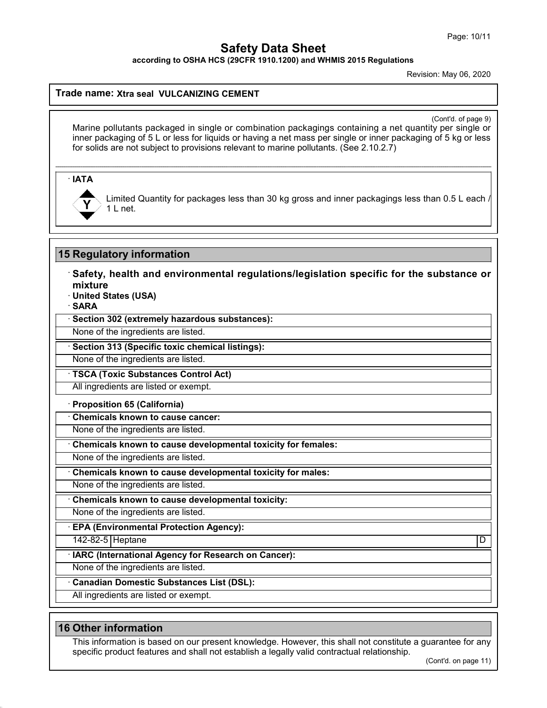according to OSHA HCS (29CFR 1910.1200) and WHMIS 2015 Regulations

Revision: May 06, 2020

### Trade name: Xtra seal VULCANIZING CEMENT

(Cont'd. of page 9)

Marine pollutants packaged in single or combination packagings containing a net quantity per single or inner packaging of 5 L or less for liquids or having a net mass per single or inner packaging of 5 kg or less for solids are not subject to provisions relevant to marine pollutants. (See 2.10.2.7)

· IATA



Limited Quantity for packages less than 30 kg gross and inner packagings less than 0.5 L each 1 L net.

## 15 Regulatory information

· Safety, health and environmental regulations/legislation specific for the substance or mixture

· United States (USA)

· SARA

· Section 302 (extremely hazardous substances):

None of the ingredients are listed.

· Section 313 (Specific toxic chemical listings):

None of the ingredients are listed.

· TSCA (Toxic Substances Control Act)

All ingredients are listed or exempt.

#### · Proposition 65 (California)

· Chemicals known to cause cancer:

None of the ingredients are listed.

Chemicals known to cause developmental toxicity for females:

None of the ingredients are listed.

Chemicals known to cause developmental toxicity for males:

None of the ingredients are listed.

· Chemicals known to cause developmental toxicity:

None of the ingredients are listed.

· EPA (Environmental Protection Agency):

142-82-5 Heptane D

IARC (International Agency for Research on Cancer):

None of the ingredients are listed.

· Canadian Domestic Substances List (DSL):

All ingredients are listed or exempt.

### 16 Other information

This information is based on our present knowledge. However, this shall not constitute a guarantee for any specific product features and shall not establish a legally valid contractual relationship.

(Cont'd. on page 11)